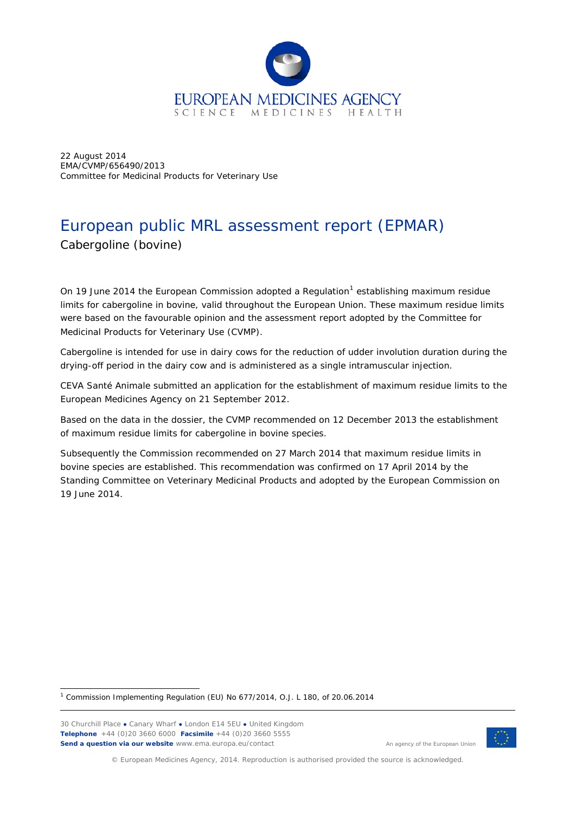

22 August 2014 EMA/CVMP/656490/2013 Committee for Medicinal Products for Veterinary Use

# European public MRL assessment report (EPMAR) Cabergoline (bovine)

On [1](#page-0-0)9 June 2014 the European Commission adopted a Regulation<sup>1</sup> establishing maximum residue limits for cabergoline in bovine, valid throughout the European Union. These maximum residue limits were based on the favourable opinion and the assessment report adopted by the Committee for Medicinal Products for Veterinary Use (CVMP).

Cabergoline is intended for use in dairy cows for the reduction of udder involution duration during the drying-off period in the dairy cow and is administered as a single intramuscular injection.

CEVA Santé Animale submitted an application for the establishment of maximum residue limits to the European Medicines Agency on 21 September 2012.

Based on the data in the dossier, the CVMP recommended on 12 December 2013 the establishment of maximum residue limits for cabergoline in bovine species.

Subsequently the Commission recommended on 27 March 2014 that maximum residue limits in bovine species are established. This recommendation was confirmed on 17 April 2014 by the Standing Committee on Veterinary Medicinal Products and adopted by the European Commission on 19 June 2014.

<span id="page-0-0"></span> $1$  Commission Implementing Regulation (EU) No 677/2014, O.J. L 180, of 20.06.2014 ł

30 Churchill Place **●** Canary Wharf **●** London E14 5EU **●** United Kingdom **Telephone** +44 (0)20 3660 6000 **Facsimile** +44 (0)20 3660 5555 **Send a question via our website** www.ema.europa.eu/contact



An agency of the European Union

© European Medicines Agency, 2014. Reproduction is authorised provided the source is acknowledged.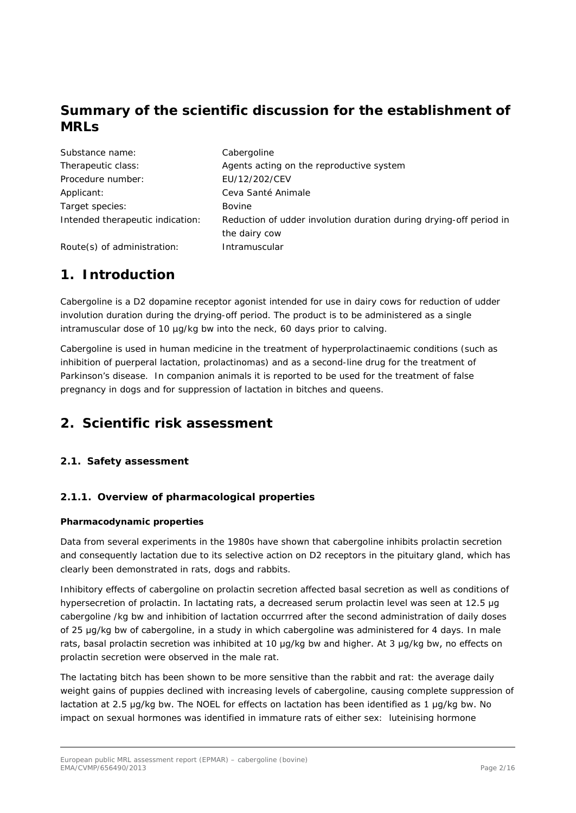## **Summary of the scientific discussion for the establishment of MRLs**

| Substance name:                  | Cabergoline                                                        |
|----------------------------------|--------------------------------------------------------------------|
| Therapeutic class:               | Agents acting on the reproductive system                           |
| Procedure number:                | EU/12/202/CEV                                                      |
| Applicant:                       | Ceva Santé Animale                                                 |
| Target species:                  | <b>Bovine</b>                                                      |
| Intended therapeutic indication: | Reduction of udder involution duration during drying-off period in |
|                                  | the dairy cow                                                      |
| Route(s) of administration:      | Intramuscular                                                      |

## **1. Introduction**

Cabergoline is a D2 dopamine receptor agonist intended for use in dairy cows for reduction of udder involution duration during the drying-off period. The product is to be administered as a single intramuscular dose of 10 µg/kg bw into the neck, 60 days prior to calving.

Cabergoline is used in human medicine in the treatment of hyperprolactinaemic conditions (such as inhibition of puerperal lactation, prolactinomas) and as a second-line drug for the treatment of Parkinson's disease. In companion animals it is reported to be used for the treatment of false pregnancy in dogs and for suppression of lactation in bitches and queens.

## **2. Scientific risk assessment**

## *2.1. Safety assessment*

## **2.1.1. Overview of pharmacological properties**

## *Pharmacodynamic properties*

Data from several experiments in the 1980s have shown that cabergoline inhibits prolactin secretion and consequently lactation due to its selective action on D2 receptors in the pituitary gland, which has clearly been demonstrated in rats, dogs and rabbits.

Inhibitory effects of cabergoline on prolactin secretion affected basal secretion as well as conditions of hypersecretion of prolactin. In lactating rats, a decreased serum prolactin level was seen at 12.5 μg cabergoline /kg bw and inhibition of lactation occurrred after the second administration of daily doses of 25 μg/kg bw of cabergoline, in a study in which cabergoline was administered for 4 days. In male rats, basal prolactin secretion was inhibited at 10 μg/kg bw and higher. At 3 μg/kg bw, no effects on prolactin secretion were observed in the male rat.

The lactating bitch has been shown to be more sensitive than the rabbit and rat: the average daily weight gains of puppies declined with increasing levels of cabergoline, causing complete suppression of lactation at 2.5 μg/kg bw. The NOEL for effects on lactation has been identified as 1 μg/kg bw. No impact on sexual hormones was identified in immature rats of either sex: luteinising hormone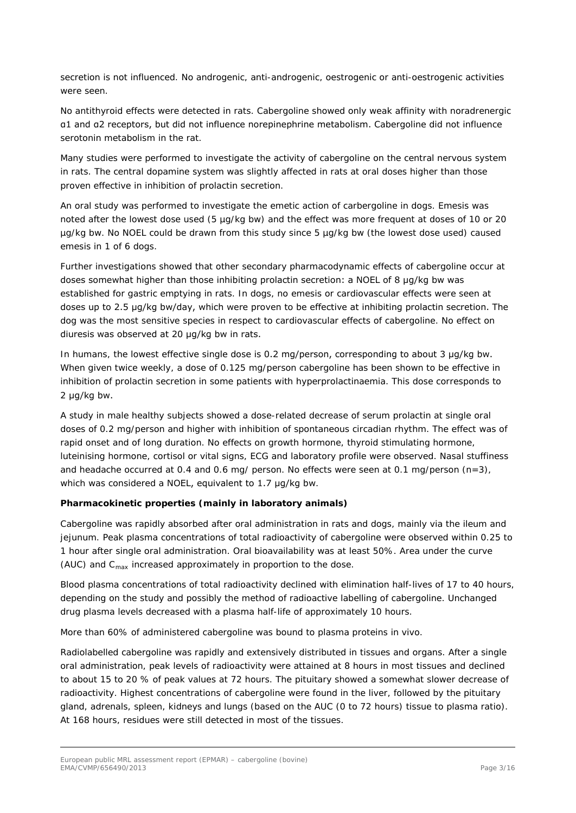secretion is not influenced. No androgenic, anti-androgenic, oestrogenic or anti-oestrogenic activities were seen.

No antithyroid effects were detected in rats. Cabergoline showed only weak affinity with noradrenergic α1 and α2 receptors, but did not influence norepinephrine metabolism. Cabergoline did not influence serotonin metabolism in the rat.

Many studies were performed to investigate the activity of cabergoline on the central nervous system in rats. The central dopamine system was slightly affected in rats at oral doses higher than those proven effective in inhibition of prolactin secretion.

An oral study was performed to investigate the emetic action of carbergoline in dogs. Emesis was noted after the lowest dose used (5 µg/kg bw) and the effect was more frequent at doses of 10 or 20 µg/kg bw. No NOEL could be drawn from this study since 5 µg/kg bw (the lowest dose used) caused emesis in 1 of 6 dogs.

Further investigations showed that other secondary pharmacodynamic effects of cabergoline occur at doses somewhat higher than those inhibiting prolactin secretion: a NOEL of 8 μg/kg bw was established for gastric emptying in rats. In dogs, no emesis or cardiovascular effects were seen at doses up to 2.5 μg/kg bw/day, which were proven to be effective at inhibiting prolactin secretion. The dog was the most sensitive species in respect to cardiovascular effects of cabergoline. No effect on diuresis was observed at 20 μg/kg bw in rats.

In humans, the lowest effective single dose is 0.2 mg/person, corresponding to about 3 μg/kg bw. When given twice weekly, a dose of 0.125 mg/person cabergoline has been shown to be effective in inhibition of prolactin secretion in some patients with hyperprolactinaemia. This dose corresponds to 2 μg/kg bw.

A study in male healthy subjects showed a dose-related decrease of serum prolactin at single oral doses of 0.2 mg/person and higher with inhibition of spontaneous circadian rhythm. The effect was of rapid onset and of long duration. No effects on growth hormone, thyroid stimulating hormone, luteinising hormone, cortisol or vital signs, ECG and laboratory profile were observed. Nasal stuffiness and headache occurred at 0.4 and 0.6 mg/ person. No effects were seen at 0.1 mg/person  $(n=3)$ , which was considered a NOEL, equivalent to 1.7 μg/kg bw.

#### *Pharmacokinetic properties (mainly in laboratory animals)*

Cabergoline was rapidly absorbed after oral administration in rats and dogs, mainly via the ileum and jejunum. Peak plasma concentrations of total radioactivity of cabergoline were observed within 0.25 to 1 hour after single oral administration. Oral bioavailability was at least 50%. Area under the curve (AUC) and  $C_{\text{max}}$  increased approximately in proportion to the dose.

Blood plasma concentrations of total radioactivity declined with elimination half-lives of 17 to 40 hours, depending on the study and possibly the method of radioactive labelling of cabergoline. Unchanged drug plasma levels decreased with a plasma half-life of approximately 10 hours.

More than 60% of administered cabergoline was bound to plasma proteins *in vivo*.

Radiolabelled cabergoline was rapidly and extensively distributed in tissues and organs. After a single oral administration, peak levels of radioactivity were attained at 8 hours in most tissues and declined to about 15 to 20 % of peak values at 72 hours. The pituitary showed a somewhat slower decrease of radioactivity. Highest concentrations of cabergoline were found in the liver, followed by the pituitary gland, adrenals, spleen, kidneys and lungs (based on the AUC (0 to 72 hours) tissue to plasma ratio). At 168 hours, residues were still detected in most of the tissues.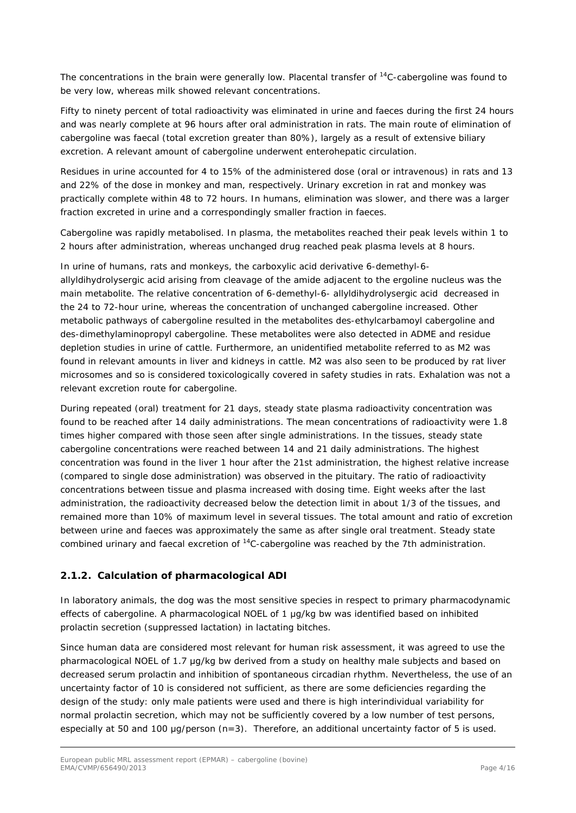The concentrations in the brain were generally low. Placental transfer of <sup>14</sup>C-cabergoline was found to be very low, whereas milk showed relevant concentrations.

Fifty to ninety percent of total radioactivity was eliminated in urine and faeces during the first 24 hours and was nearly complete at 96 hours after oral administration in rats. The main route of elimination of cabergoline was faecal (total excretion greater than 80%), largely as a result of extensive biliary excretion. A relevant amount of cabergoline underwent enterohepatic circulation.

Residues in urine accounted for 4 to 15% of the administered dose (oral or intravenous) in rats and 13 and 22% of the dose in monkey and man, respectively. Urinary excretion in rat and monkey was practically complete within 48 to 72 hours. In humans, elimination was slower, and there was a larger fraction excreted in urine and a correspondingly smaller fraction in faeces.

Cabergoline was rapidly metabolised. In plasma, the metabolites reached their peak levels within 1 to 2 hours after administration, whereas unchanged drug reached peak plasma levels at 8 hours.

In urine of humans, rats and monkeys, the carboxylic acid derivative 6-demethyl-6 allyldihydrolysergic acid arising from cleavage of the amide adjacent to the ergoline nucleus was the main metabolite. The relative concentration of 6-demethyl-6- allyldihydrolysergic acid decreased in the 24 to 72-hour urine, whereas the concentration of unchanged cabergoline increased. Other metabolic pathways of cabergoline resulted in the metabolites des-ethylcarbamoyl cabergoline and des-dimethylaminopropyl cabergoline. These metabolites were also detected in ADME and residue depletion studies in urine of cattle. Furthermore, an unidentified metabolite referred to as M2 was found in relevant amounts in liver and kidneys in cattle. M2 was also seen to be produced by rat liver microsomes and so is considered toxicologically covered in safety studies in rats. Exhalation was not a relevant excretion route for cabergoline.

During repeated (oral) treatment for 21 days, steady state plasma radioactivity concentration was found to be reached after 14 daily administrations. The mean concentrations of radioactivity were 1.8 times higher compared with those seen after single administrations. In the tissues, steady state cabergoline concentrations were reached between 14 and 21 daily administrations. The highest concentration was found in the liver 1 hour after the 21st administration, the highest relative increase (compared to single dose administration) was observed in the pituitary. The ratio of radioactivity concentrations between tissue and plasma increased with dosing time. Eight weeks after the last administration, the radioactivity decreased below the detection limit in about 1/3 of the tissues, and remained more than 10% of maximum level in several tissues. The total amount and ratio of excretion between urine and faeces was approximately the same as after single oral treatment. Steady state combined urinary and faecal excretion of <sup>14</sup>C-cabergoline was reached by the 7th administration.

## **2.1.2. Calculation of pharmacological ADI**

In laboratory animals, the dog was the most sensitive species in respect to primary pharmacodynamic effects of cabergoline. A pharmacological NOEL of 1 μg/kg bw was identified based on inhibited prolactin secretion (suppressed lactation) in lactating bitches.

Since human data are considered most relevant for human risk assessment, it was agreed to use the pharmacological NOEL of 1.7 μg/kg bw derived from a study on healthy male subjects and based on decreased serum prolactin and inhibition of spontaneous circadian rhythm. Nevertheless, the use of an uncertainty factor of 10 is considered not sufficient, as there are some deficiencies regarding the design of the study: only male patients were used and there is high interindividual variability for normal prolactin secretion, which may not be sufficiently covered by a low number of test persons, especially at 50 and 100 μg/person (n=3). Therefore, an additional uncertainty factor of 5 is used.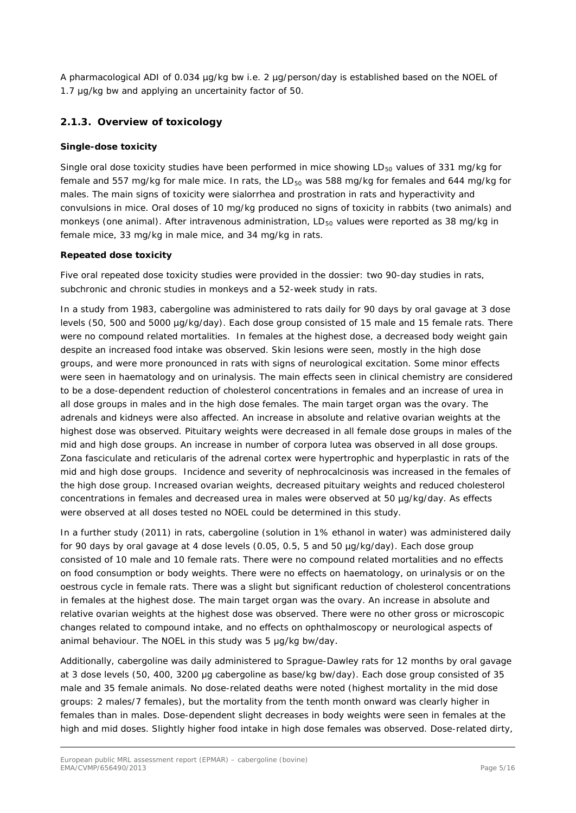A pharmacological ADI of 0.034 µg/kg bw i.e. 2 µg/person/day is established based on the NOEL of 1.7 μg/kg bw and applying an uncertainity factor of 50.

### **2.1.3. Overview of toxicology**

#### *Single-dose toxicity*

Single oral dose toxicity studies have been performed in mice showing LD $_{50}$  values of 331 mg/kg for female and 557 mg/kg for male mice. In rats, the  $LD_{50}$  was 588 mg/kg for females and 644 mg/kg for males. The main signs of toxicity were sialorrhea and prostration in rats and hyperactivity and convulsions in mice. Oral doses of 10 mg/kg produced no signs of toxicity in rabbits (two animals) and monkeys (one animal). After intravenous administration,  $LD_{50}$  values were reported as 38 mg/kg in female mice, 33 mg/kg in male mice, and 34 mg/kg in rats.

#### *Repeated dose toxicity*

Five oral repeated dose toxicity studies were provided in the dossier: two 90-day studies in rats, subchronic and chronic studies in monkeys and a 52-week study in rats.

In a study from 1983, cabergoline was administered to rats daily for 90 days by oral gavage at 3 dose levels (50, 500 and 5000 µg/kg/day). Each dose group consisted of 15 male and 15 female rats. There were no compound related mortalities. In females at the highest dose, a decreased body weight gain despite an increased food intake was observed. Skin lesions were seen, mostly in the high dose groups, and were more pronounced in rats with signs of neurological excitation. Some minor effects were seen in haematology and on urinalysis. The main effects seen in clinical chemistry are considered to be a dose-dependent reduction of cholesterol concentrations in females and an increase of urea in all dose groups in males and in the high dose females. The main target organ was the ovary. The adrenals and kidneys were also affected. An increase in absolute and relative ovarian weights at the highest dose was observed. Pituitary weights were decreased in all female dose groups in males of the mid and high dose groups. An increase in number of corpora lutea was observed in all dose groups. Zona fasciculate and reticularis of the adrenal cortex were hypertrophic and hyperplastic in rats of the mid and high dose groups. Incidence and severity of nephrocalcinosis was increased in the females of the high dose group. Increased ovarian weights, decreased pituitary weights and reduced cholesterol concentrations in females and decreased urea in males were observed at 50 µg/kg/day. As effects were observed at all doses tested no NOEL could be determined in this study.

In a further study (2011) in rats, cabergoline (solution in 1% ethanol in water) was administered daily for 90 days by oral gavage at 4 dose levels (0.05, 0.5, 5 and 50 µg/kg/day). Each dose group consisted of 10 male and 10 female rats. There were no compound related mortalities and no effects on food consumption or body weights. There were no effects on haematology, on urinalysis or on the oestrous cycle in female rats. There was a slight but significant reduction of cholesterol concentrations in females at the highest dose. The main target organ was the ovary. An increase in absolute and relative ovarian weights at the highest dose was observed. There were no other gross or microscopic changes related to compound intake, and no effects on ophthalmoscopy or neurological aspects of animal behaviour. The NOEL in this study was 5 μg/kg bw/day.

Additionally, cabergoline was daily administered to Sprague-Dawley rats for 12 months by oral gavage at 3 dose levels (50, 400, 3200 μg cabergoline as base/kg bw/day). Each dose group consisted of 35 male and 35 female animals. No dose-related deaths were noted (highest mortality in the mid dose groups: 2 males/7 females), but the mortality from the tenth month onward was clearly higher in females than in males. Dose-dependent slight decreases in body weights were seen in females at the high and mid doses. Slightly higher food intake in high dose females was observed. Dose-related dirty,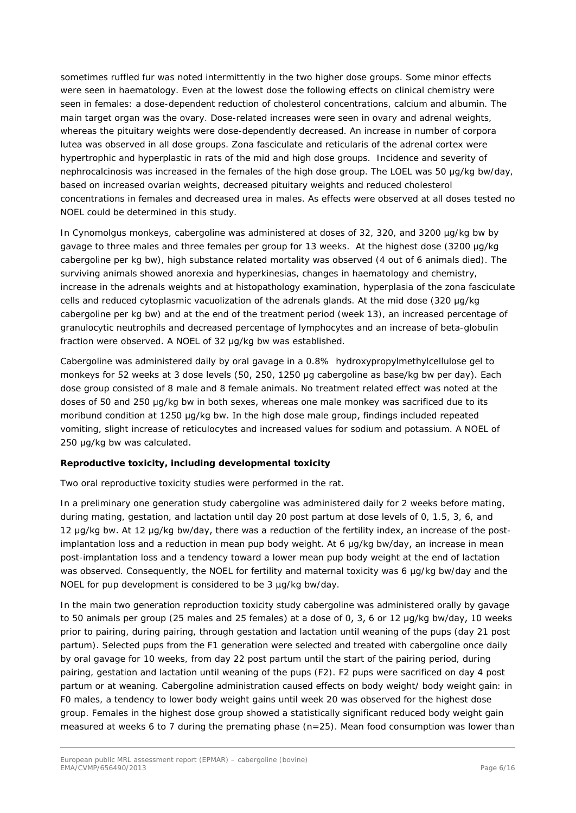sometimes ruffled fur was noted intermittently in the two higher dose groups. Some minor effects were seen in haematology. Even at the lowest dose the following effects on clinical chemistry were seen in females: a dose-dependent reduction of cholesterol concentrations, calcium and albumin. The main target organ was the ovary. Dose-related increases were seen in ovary and adrenal weights, whereas the pituitary weights were dose-dependently decreased. An increase in number of corpora lutea was observed in all dose groups. Zona fasciculate and reticularis of the adrenal cortex were hypertrophic and hyperplastic in rats of the mid and high dose groups. Incidence and severity of nephrocalcinosis was increased in the females of the high dose group. The LOEL was 50 μg/kg bw/day, based on increased ovarian weights, decreased pituitary weights and reduced cholesterol concentrations in females and decreased urea in males. As effects were observed at all doses tested no NOEL could be determined in this study.

In Cynomolgus monkeys, cabergoline was administered at doses of 32, 320, and 3200 µg/kg bw by gavage to three males and three females per group for 13 weeks. At the highest dose (3200 μg/kg cabergoline per kg bw), high substance related mortality was observed (4 out of 6 animals died). The surviving animals showed anorexia and hyperkinesias, changes in haematology and chemistry, increase in the adrenals weights and at histopathology examination, hyperplasia of the zona fasciculate cells and reduced cytoplasmic vacuolization of the adrenals glands. At the mid dose (320 μg/kg cabergoline per kg bw) and at the end of the treatment period (week 13), an increased percentage of granulocytic neutrophils and decreased percentage of lymphocytes and an increase of beta-globulin fraction were observed. A NOEL of 32 μg/kg bw was established.

Cabergoline was administered daily by oral gavage in a 0.8% hydroxypropylmethylcellulose gel to monkeys for 52 weeks at 3 dose levels (50, 250, 1250 μg cabergoline as base/kg bw per day). Each dose group consisted of 8 male and 8 female animals. No treatment related effect was noted at the doses of 50 and 250 μg/kg bw in both sexes, whereas one male monkey was sacrificed due to its moribund condition at 1250 μg/kg bw. In the high dose male group, findings included repeated vomiting, slight increase of reticulocytes and increased values for sodium and potassium. A NOEL of 250 μg/kg bw was calculated.

#### *Reproductive toxicity, including developmental toxicity*

Two oral reproductive toxicity studies were performed in the rat.

In a preliminary one generation study cabergoline was administered daily for 2 weeks before mating, during mating, gestation, and lactation until day 20 post partum at dose levels of 0, 1.5, 3, 6, and 12 µg/kg bw. At 12 μg/kg bw/day, there was a reduction of the fertility index, an increase of the postimplantation loss and a reduction in mean pup body weight. At 6 μg/kg bw/day, an increase in mean post-implantation loss and a tendency toward a lower mean pup body weight at the end of lactation was observed. Consequently, the NOEL for fertility and maternal toxicity was 6 µg/kg bw/day and the NOEL for pup development is considered to be 3 µg/kg bw/day.

In the main two generation reproduction toxicity study cabergoline was administered orally by gavage to 50 animals per group (25 males and 25 females) at a dose of 0, 3, 6 or 12 μg/kg bw/day, 10 weeks prior to pairing, during pairing, through gestation and lactation until weaning of the pups (day 21 post partum). Selected pups from the F1 generation were selected and treated with cabergoline once daily by oral gavage for 10 weeks, from day 22 post partum until the start of the pairing period, during pairing, gestation and lactation until weaning of the pups (F2). F2 pups were sacrificed on day 4 post partum or at weaning. Cabergoline administration caused effects on body weight/ body weight gain: in F0 males, a tendency to lower body weight gains until week 20 was observed for the highest dose group. Females in the highest dose group showed a statistically significant reduced body weight gain measured at weeks 6 to 7 during the premating phase  $(n=25)$ . Mean food consumption was lower than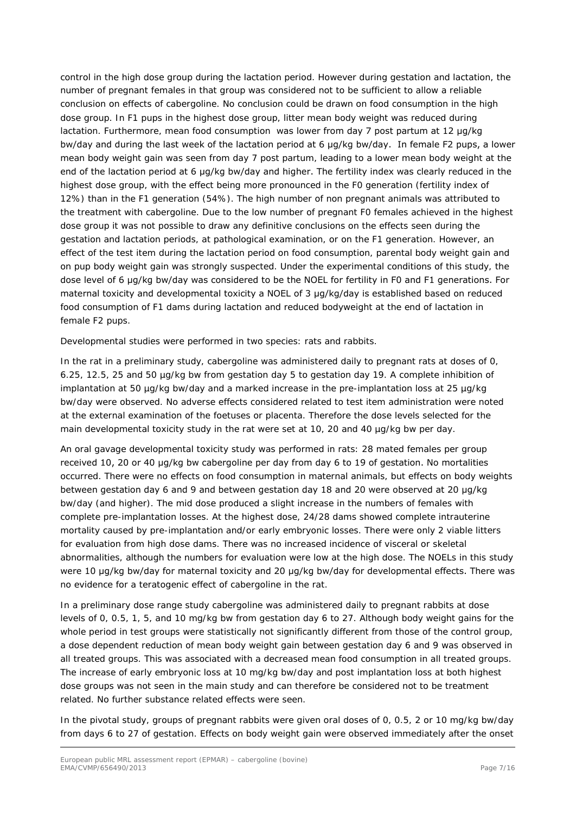control in the high dose group during the lactation period. However during gestation and lactation, the number of pregnant females in that group was considered not to be sufficient to allow a reliable conclusion on effects of cabergoline. No conclusion could be drawn on food consumption in the high dose group. In F1 pups in the highest dose group, litter mean body weight was reduced during lactation. Furthermore, mean food consumption was lower from day 7 post partum at 12 μg/kg bw/day and during the last week of the lactation period at 6 μg/kg bw/day. In female F2 pups, a lower mean body weight gain was seen from day 7 post partum, leading to a lower mean body weight at the end of the lactation period at 6 μg/kg bw/day and higher. The fertility index was clearly reduced in the highest dose group, with the effect being more pronounced in the F0 generation (fertility index of 12%) than in the F1 generation (54%). The high number of non pregnant animals was attributed to the treatment with cabergoline. Due to the low number of pregnant F0 females achieved in the highest dose group it was not possible to draw any definitive conclusions on the effects seen during the gestation and lactation periods, at pathological examination, or on the F1 generation. However, an effect of the test item during the lactation period on food consumption, parental body weight gain and on pup body weight gain was strongly suspected. Under the experimental conditions of this study, the dose level of 6 μg/kg bw/day was considered to be the NOEL for fertility in F0 and F1 generations. For maternal toxicity and developmental toxicity a NOEL of 3 μg/kg/day is established based on reduced food consumption of F1 dams during lactation and reduced bodyweight at the end of lactation in female F2 pups.

Developmental studies were performed in two species: rats and rabbits.

In the rat in a preliminary study, cabergoline was administered daily to pregnant rats at doses of 0, 6.25, 12.5, 25 and 50 µg/kg bw from gestation day 5 to gestation day 19. A complete inhibition of implantation at 50 µg/kg bw/day and a marked increase in the pre-implantation loss at 25 µg/kg bw/day were observed. No adverse effects considered related to test item administration were noted at the external examination of the foetuses or placenta. Therefore the dose levels selected for the main developmental toxicity study in the rat were set at 10, 20 and 40 µg/kg bw per day.

An oral gavage developmental toxicity study was performed in rats: 28 mated females per group received 10, 20 or 40 μg/kg bw cabergoline per day from day 6 to 19 of gestation. No mortalities occurred. There were no effects on food consumption in maternal animals, but effects on body weights between gestation day 6 and 9 and between gestation day 18 and 20 were observed at 20 μg/kg bw/day (and higher). The mid dose produced a slight increase in the numbers of females with complete pre-implantation losses. At the highest dose, 24/28 dams showed complete intrauterine mortality caused by pre-implantation and/or early embryonic losses. There were only 2 viable litters for evaluation from high dose dams. There was no increased incidence of visceral or skeletal abnormalities, although the numbers for evaluation were low at the high dose. The NOELs in this study were 10 μg/kg bw/day for maternal toxicity and 20 μg/kg bw/day for developmental effects. There was no evidence for a teratogenic effect of cabergoline in the rat.

In a preliminary dose range study cabergoline was administered daily to pregnant rabbits at dose levels of 0, 0.5, 1, 5, and 10 mg/kg bw from gestation day 6 to 27. Although body weight gains for the whole period in test groups were statistically not significantly different from those of the control group, a dose dependent reduction of mean body weight gain between gestation day 6 and 9 was observed in all treated groups. This was associated with a decreased mean food consumption in all treated groups. The increase of early embryonic loss at 10 mg/kg bw/day and post implantation loss at both highest dose groups was not seen in the main study and can therefore be considered not to be treatment related. No further substance related effects were seen.

In the pivotal study, groups of pregnant rabbits were given oral doses of 0, 0.5, 2 or 10 mg/kg bw/day from days 6 to 27 of gestation. Effects on body weight gain were observed immediately after the onset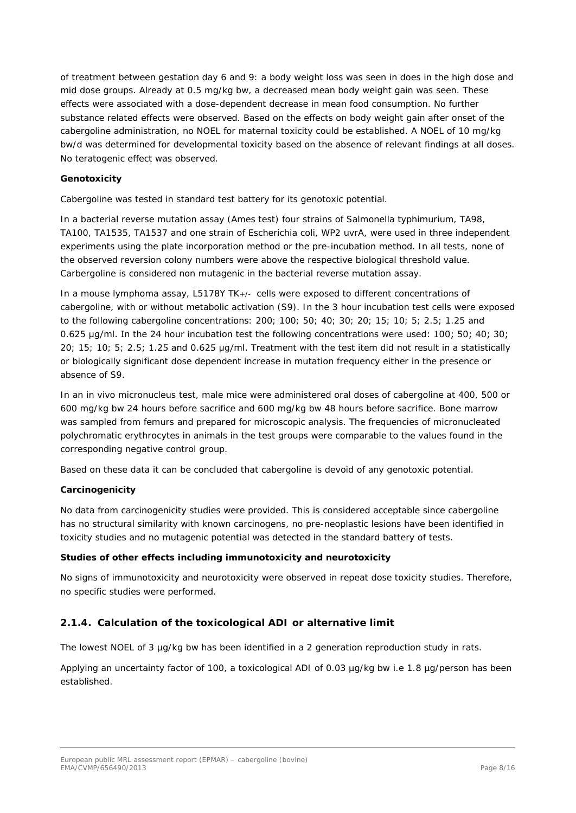of treatment between gestation day 6 and 9: a body weight loss was seen in does in the high dose and mid dose groups. Already at 0.5 mg/kg bw, a decreased mean body weight gain was seen. These effects were associated with a dose-dependent decrease in mean food consumption. No further substance related effects were observed. Based on the effects on body weight gain after onset of the cabergoline administration, no NOEL for maternal toxicity could be established. A NOEL of 10 mg/kg bw/d was determined for developmental toxicity based on the absence of relevant findings at all doses. No teratogenic effect was observed.

#### *Genotoxicity*

Cabergoline was tested in standard test battery for its genotoxic potential.

In a bacterial reverse mutation assay (Ames test) four strains of *Salmonella typhimurium,* TA98, TA100, TA1535, TA1537 and one strain of *Escherichia coli,* WP2 *uvrA,* were used in three independent experiments using the plate incorporation method or the pre-incubation method. In all tests, none of the observed reversion colony numbers were above the respective biological threshold value. Carbergoline is considered non mutagenic in the bacterial reverse mutation assay.

In a mouse lymphoma assay, L5178Y TK+/- cells were exposed to different concentrations of cabergoline, with or without metabolic activation (S9). In the 3 hour incubation test cells were exposed to the following cabergoline concentrations: 200; 100; 50; 40; 30; 20; 15; 10; 5; 2.5; 1.25 and 0.625 μg/ml. In the 24 hour incubation test the following concentrations were used: 100; 50; 40; 30; 20; 15; 10; 5; 2.5; 1.25 and 0.625 µg/ml. Treatment with the test item did not result in a statistically or biologically significant dose dependent increase in mutation frequency either in the presence or absence of S9.

In an *in vivo* micronucleus test, male mice were administered oral doses of cabergoline at 400, 500 or 600 mg/kg bw 24 hours before sacrifice and 600 mg/kg bw 48 hours before sacrifice. Bone marrow was sampled from femurs and prepared for microscopic analysis. The frequencies of micronucleated polychromatic erythrocytes in animals in the test groups were comparable to the values found in the corresponding negative control group.

Based on these data it can be concluded that cabergoline is devoid of any genotoxic potential.

#### *Carcinogenicity*

No data from carcinogenicity studies were provided. This is considered acceptable since cabergoline has no structural similarity with known carcinogens, no pre-neoplastic lesions have been identified in toxicity studies and no mutagenic potential was detected in the standard battery of tests.

#### *Studies of other effects including immunotoxicity and neurotoxicity*

No signs of immunotoxicity and neurotoxicity were observed in repeat dose toxicity studies. Therefore, no specific studies were performed.

## **2.1.4. Calculation of the toxicological ADI or alternative limit**

The lowest NOEL of 3 µg/kg bw has been identified in a 2 generation reproduction study in rats.

Applying an uncertainty factor of 100, a toxicological ADI of 0.03 µg/kg bw i.e 1.8 µg/person has been established.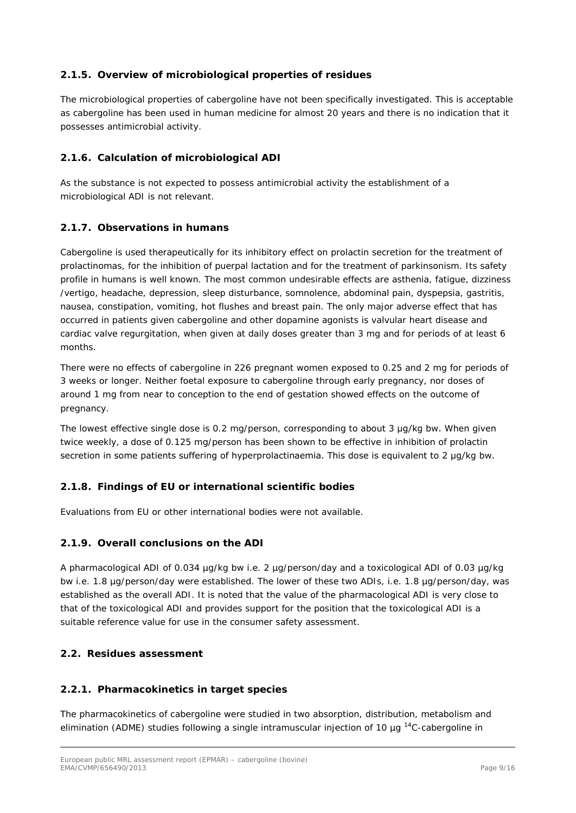## **2.1.5. Overview of microbiological properties of residues**

The microbiological properties of cabergoline have not been specifically investigated. This is acceptable as cabergoline has been used in human medicine for almost 20 years and there is no indication that it possesses antimicrobial activity.

#### **2.1.6. Calculation of microbiological ADI**

As the substance is not expected to possess antimicrobial activity the establishment of a microbiological ADI is not relevant.

#### **2.1.7. Observations in humans**

Cabergoline is used therapeutically for its inhibitory effect on prolactin secretion for the treatment of prolactinomas, for the inhibition of puerpal lactation and for the treatment of parkinsonism. Its safety profile in humans is well known. The most common undesirable effects are asthenia, fatigue, dizziness /vertigo, headache, depression, sleep disturbance, somnolence, abdominal pain, dyspepsia, gastritis, nausea, constipation, vomiting, hot flushes and breast pain. The only major adverse effect that has occurred in patients given cabergoline and other dopamine agonists is valvular heart disease and cardiac valve regurgitation, when given at daily doses greater than 3 mg and for periods of at least 6 months.

There were no effects of cabergoline in 226 pregnant women exposed to 0.25 and 2 mg for periods of 3 weeks or longer. Neither foetal exposure to cabergoline through early pregnancy, nor doses of around 1 mg from near to conception to the end of gestation showed effects on the outcome of pregnancy.

The lowest effective single dose is 0.2 mg/person, corresponding to about 3 μg/kg bw. When given twice weekly, a dose of 0.125 mg/person has been shown to be effective in inhibition of prolactin secretion in some patients suffering of hyperprolactinaemia. This dose is equivalent to 2 μg/kg bw.

#### **2.1.8. Findings of EU or international scientific bodies**

Evaluations from EU or other international bodies were not available.

#### **2.1.9. Overall conclusions on the ADI**

A pharmacological ADI of 0.034 µg/kg bw i.e. 2 µg/person/day and a toxicological ADI of 0.03 µg/kg bw i.e. 1.8 µg/person/day were established. The lower of these two ADIs, i.e. 1.8 µg/person/day, was established as the overall ADI. It is noted that the value of the pharmacological ADI is very close to that of the toxicological ADI and provides support for the position that the toxicological ADI is a suitable reference value for use in the consumer safety assessment.

#### *2.2. Residues assessment*

#### **2.2.1. Pharmacokinetics in target species**

The pharmacokinetics of cabergoline were studied in two absorption, distribution, metabolism and elimination (ADME) studies following a single intramuscular injection of 10  $\mu$ g <sup>14</sup>C-cabergoline in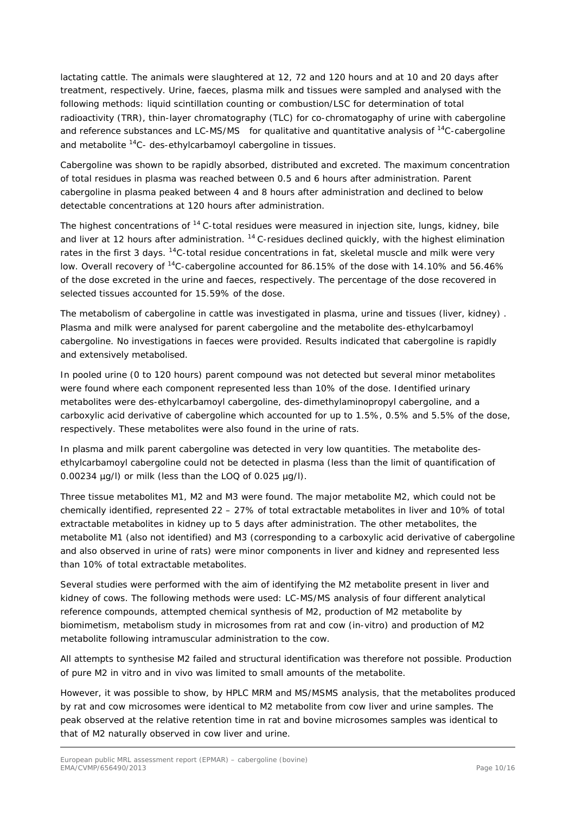lactating cattle. The animals were slaughtered at 12, 72 and 120 hours and at 10 and 20 days after treatment, respectively. Urine, faeces, plasma milk and tissues were sampled and analysed with the following methods: liquid scintillation counting or combustion/LSC for determination of total radioactivity (TRR), thin-layer chromatography (TLC) for co-chromatogaphy of urine with cabergoline and reference substances and LC-MS/MS for qualitative and quantitative analysis of <sup>14</sup>C-cabergoline and metabolite 14C- des-ethylcarbamoyl cabergoline in tissues.

Cabergoline was shown to be rapidly absorbed, distributed and excreted. The maximum concentration of total residues in plasma was reached between 0.5 and 6 hours after administration. Parent cabergoline in plasma peaked between 4 and 8 hours after administration and declined to below detectable concentrations at 120 hours after administration.

The highest concentrations of <sup>14</sup> C-total residues were measured in injection site, lungs, kidney, bile and liver at 12 hours after administration. <sup>14</sup> C-residues declined quickly, with the highest elimination rates in the first 3 days. <sup>14</sup>C-total residue concentrations in fat, skeletal muscle and milk were very low. Overall recovery of <sup>14</sup>C-cabergoline accounted for 86.15% of the dose with 14.10% and 56.46% of the dose excreted in the urine and faeces, respectively. The percentage of the dose recovered in selected tissues accounted for 15.59% of the dose.

The metabolism of cabergoline in cattle was investigated in plasma, urine and tissues (liver, kidney) . Plasma and milk were analysed for parent cabergoline and the metabolite des-ethylcarbamoyl cabergoline. No investigations in faeces were provided. Results indicated that cabergoline is rapidly and extensively metabolised.

In pooled urine (0 to 120 hours) parent compound was not detected but several minor metabolites were found where each component represented less than 10% of the dose. Identified urinary metabolites were des-ethylcarbamoyl cabergoline, des-dimethylaminopropyl cabergoline, and a carboxylic acid derivative of cabergoline which accounted for up to 1.5%, 0.5% and 5.5% of the dose, respectively. These metabolites were also found in the urine of rats.

In plasma and milk parent cabergoline was detected in very low quantities. The metabolite desethylcarbamoyl cabergoline could not be detected in plasma (less than the limit of quantification of  $0.00234$  µg/l) or milk (less than the LOQ of  $0.025$  µg/l).

Three tissue metabolites M1, M2 and M3 were found. The major metabolite M2, which could not be chemically identified, represented 22 – 27% of total extractable metabolites in liver and 10% of total extractable metabolites in kidney up to 5 days after administration. The other metabolites, the metabolite M1 (also not identified) and M3 (corresponding to a carboxylic acid derivative of cabergoline and also observed in urine of rats) were minor components in liver and kidney and represented less than 10% of total extractable metabolites.

Several studies were performed with the aim of identifying the M2 metabolite present in liver and kidney of cows. The following methods were used: LC-MS/MS analysis of four different analytical reference compounds, attempted chemical synthesis of M2, production of M2 metabolite by biomimetism, metabolism study in microsomes from rat and cow (*in-vitro*) and production of M2 metabolite following intramuscular administration to the cow.

All attempts to synthesise M2 failed and structural identification was therefore not possible. Production of pure M2 *in vitro* and *in vivo* was limited to small amounts of the metabolite.

However, it was possible to show, by HPLC MRM and MS/MSMS analysis, that the metabolites produced by rat and cow microsomes were identical to M2 metabolite from cow liver and urine samples. The peak observed at the relative retention time in rat and bovine microsomes samples was identical to that of M2 naturally observed in cow liver and urine.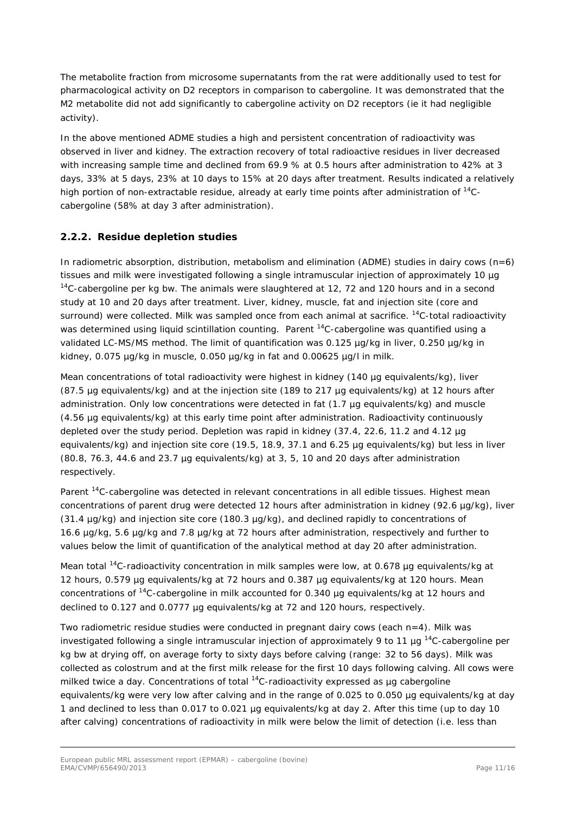The metabolite fraction from microsome supernatants from the rat were additionally used to test for pharmacological activity on D2 receptors in comparison to cabergoline. It was demonstrated that the M2 metabolite did not add significantly to cabergoline activity on D2 receptors (ie it had negligible activity).

In the above mentioned ADME studies a high and persistent concentration of radioactivity was observed in liver and kidney. The extraction recovery of total radioactive residues in liver decreased with increasing sample time and declined from 69.9 % at 0.5 hours after administration to 42% at 3 days, 33% at 5 days, 23% at 10 days to 15% at 20 days after treatment. Results indicated a relatively high portion of non-extractable residue, already at early time points after administration of <sup>14</sup>Ccabergoline (58% at day 3 after administration).

## **2.2.2. Residue depletion studies**

In radiometric absorption, distribution, metabolism and elimination (ADME) studies in dairy cows  $(n=6)$ tissues and milk were investigated following a single intramuscular injection of approximately 10 µg  $14$ C-cabergoline per kg bw. The animals were slaughtered at 12, 72 and 120 hours and in a second study at 10 and 20 days after treatment. Liver, kidney, muscle, fat and injection site (core and surround) were collected. Milk was sampled once from each animal at sacrifice. <sup>14</sup>C-total radioactivity was determined using liquid scintillation counting. Parent <sup>14</sup>C-cabergoline was quantified using a validated LC-MS/MS method. The limit of quantification was 0.125 µg/kg in liver, 0.250 µg/kg in kidney, 0.075 µg/kg in muscle, 0.050 µg/kg in fat and 0.00625 µg/l in milk.

Mean concentrations of total radioactivity were highest in kidney (140 µg equivalents/kg), liver (87.5 µg equivalents/kg) and at the injection site (189 to 217 µg equivalents/kg) at 12 hours after administration. Only low concentrations were detected in fat (1.7 µg equivalents/kg) and muscle (4.56 µg equivalents/kg) at this early time point after administration. Radioactivity continuously depleted over the study period. Depletion was rapid in kidney (37.4, 22.6, 11.2 and 4.12 µg equivalents/kg) and injection site core (19.5, 18.9, 37.1 and 6.25 µg equivalents/kg) but less in liver (80.8, 76.3, 44.6 and 23.7 µg equivalents/kg) at 3, 5, 10 and 20 days after administration respectively.

Parent <sup>14</sup>C-cabergoline was detected in relevant concentrations in all edible tissues. Highest mean concentrations of parent drug were detected 12 hours after administration in kidney (92.6 µg/kg), liver  $(31.4 \text{ µq/kg})$  and injection site core  $(180.3 \text{ µq/kg})$ , and declined rapidly to concentrations of 16.6 µg/kg, 5.6 µg/kg and 7.8 µg/kg at 72 hours after administration, respectively and further to values below the limit of quantification of the analytical method at day 20 after administration.

Mean total <sup>14</sup>C-radioactivity concentration in milk samples were low, at 0.678 µg equivalents/kg at 12 hours, 0.579 µg equivalents/kg at 72 hours and 0.387 µg equivalents/kg at 120 hours. Mean concentrations of 14C-cabergoline in milk accounted for 0.340 µg equivalents/kg at 12 hours and declined to 0.127 and 0.0777 µg equivalents/kg at 72 and 120 hours, respectively.

Two radiometric residue studies were conducted in pregnant dairy cows (each n=4). Milk was investigated following a single intramuscular injection of approximately 9 to 11  $\mu$ g <sup>14</sup>C-cabergoline per kg bw at drying off, on average forty to sixty days before calving (range: 32 to 56 days). Milk was collected as colostrum and at the first milk release for the first 10 days following calving. All cows were milked twice a day. Concentrations of total <sup>14</sup>C-radioactivity expressed as µg cabergoline equivalents/kg were very low after calving and in the range of 0.025 to 0.050 µg equivalents/kg at day 1 and declined to less than 0.017 to 0.021 µg equivalents/kg at day 2. After this time (up to day 10 after calving) concentrations of radioactivity in milk were below the limit of detection (i.e. less than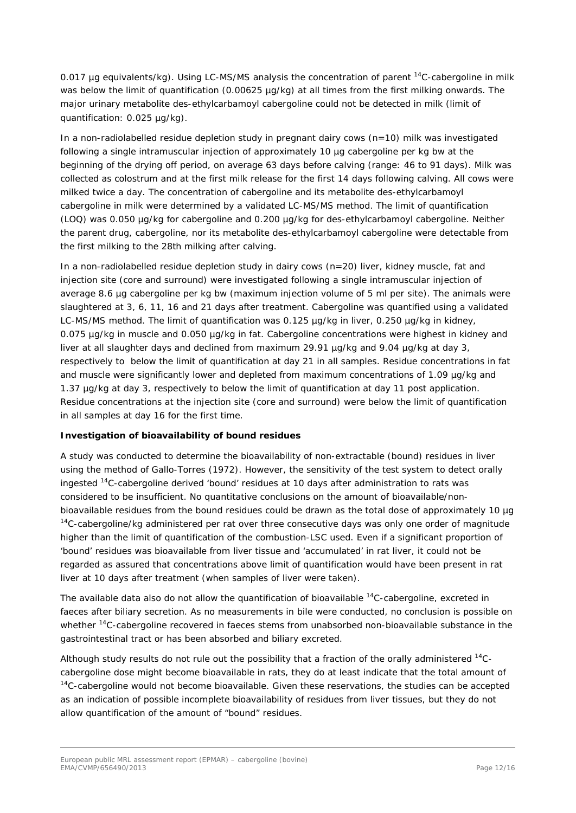0.017 µg equivalents/kg). Using LC-MS/MS analysis the concentration of parent <sup>14</sup>C-cabergoline in milk was below the limit of quantification (0.00625 µg/kg) at all times from the first milking onwards. The major urinary metabolite des-ethylcarbamoyl cabergoline could not be detected in milk (limit of quantification: 0.025 µg/kg).

In a non-radiolabelled residue depletion study in pregnant dairy cows (n=10) milk was investigated following a single intramuscular injection of approximately 10 µg cabergoline per kg bw at the beginning of the drying off period, on average 63 days before calving (range: 46 to 91 days). Milk was collected as colostrum and at the first milk release for the first 14 days following calving. All cows were milked twice a day. The concentration of cabergoline and its metabolite des-ethylcarbamoyl cabergoline in milk were determined by a validated LC-MS/MS method. The limit of quantification (LOQ) was 0.050 µg/kg for cabergoline and 0.200 µg/kg for des-ethylcarbamoyl cabergoline. Neither the parent drug, cabergoline, nor its metabolite des-ethylcarbamoyl cabergoline were detectable from the first milking to the 28th milking after calving.

In a non-radiolabelled residue depletion study in dairy cows (n=20) liver, kidney muscle, fat and injection site (core and surround) were investigated following a single intramuscular injection of average 8.6 µg cabergoline per kg bw (maximum injection volume of 5 ml per site). The animals were slaughtered at 3, 6, 11, 16 and 21 days after treatment. Cabergoline was quantified using a validated LC-MS/MS method. The limit of quantification was 0.125 µg/kg in liver, 0.250 µg/kg in kidney, 0.075 µg/kg in muscle and 0.050 µg/kg in fat. Cabergoline concentrations were highest in kidney and liver at all slaughter days and declined from maximum 29.91 µg/kg and 9.04 µg/kg at day 3, respectively to below the limit of quantification at day 21 in all samples. Residue concentrations in fat and muscle were significantly lower and depleted from maximum concentrations of 1.09 µg/kg and 1.37 µg/kg at day 3, respectively to below the limit of quantification at day 11 post application. Residue concentrations at the injection site (core and surround) were below the limit of quantification in all samples at day 16 for the first time.

#### *Investigation of bioavailability of bound residues*

A study was conducted to determine the bioavailability of non-extractable (bound) residues in liver using the method of Gallo-Torres (1972). However, the sensitivity of the test system to detect orally ingested 14C-cabergoline derived 'bound' residues at 10 days after administration to rats was considered to be insufficient. No quantitative conclusions on the amount of bioavailable/nonbioavailable residues from the bound residues could be drawn as the total dose of approximately 10 µg  $14$ C-cabergoline/kg administered per rat over three consecutive days was only one order of magnitude higher than the limit of quantification of the combustion-LSC used. Even if a significant proportion of 'bound' residues was bioavailable from liver tissue and 'accumulated' in rat liver, it could not be regarded as assured that concentrations above limit of quantification would have been present in rat liver at 10 days after treatment (when samples of liver were taken).

The available data also do not allow the quantification of bioavailable <sup>14</sup>C-cabergoline, excreted in faeces after biliary secretion. As no measurements in bile were conducted, no conclusion is possible on whether <sup>14</sup>C-cabergoline recovered in faeces stems from unabsorbed non-bioavailable substance in the gastrointestinal tract or has been absorbed and biliary excreted.

Although study results do not rule out the possibility that a fraction of the orally administered 14Ccabergoline dose might become bioavailable in rats, they do at least indicate that the total amount of  $14$ C-cabergoline would not become bioavailable. Given these reservations, the studies can be accepted as an indication of possible incomplete bioavailability of residues from liver tissues, but they do not allow quantification of the amount of "bound" residues.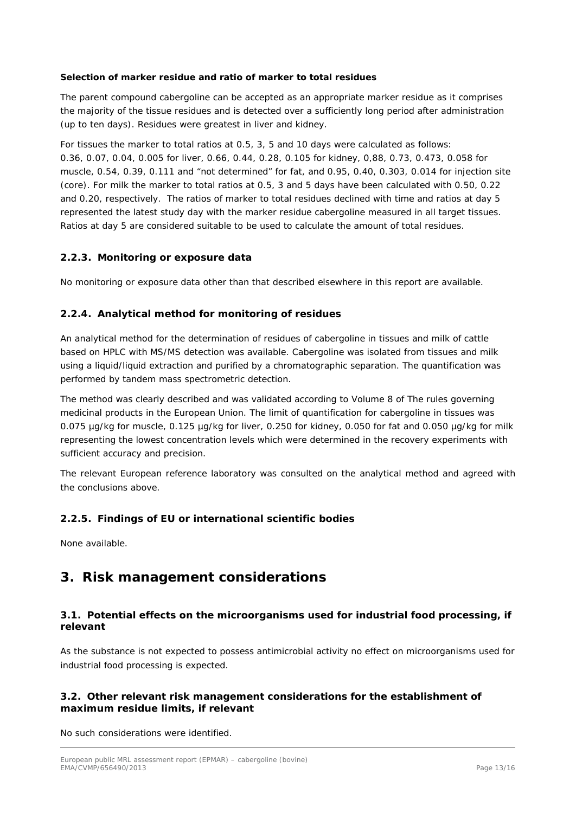#### *Selection of marker residue and ratio of marker to total residues*

The parent compound cabergoline can be accepted as an appropriate marker residue as it comprises the majority of the tissue residues and is detected over a sufficiently long period after administration (up to ten days). Residues were greatest in liver and kidney.

For tissues the marker to total ratios at 0.5, 3, 5 and 10 days were calculated as follows: 0.36, 0.07, 0.04, 0.005 for liver, 0.66, 0.44, 0.28, 0.105 for kidney, 0,88, 0.73, 0.473, 0.058 for muscle, 0.54, 0.39, 0.111 and "not determined" for fat, and 0.95, 0.40, 0.303, 0.014 for injection site (core). For milk the marker to total ratios at 0.5, 3 and 5 days have been calculated with 0.50, 0.22 and 0.20, respectively. The ratios of marker to total residues declined with time and ratios at day 5 represented the latest study day with the marker residue cabergoline measured in all target tissues. Ratios at day 5 are considered suitable to be used to calculate the amount of total residues.

#### **2.2.3. Monitoring or exposure data**

No monitoring or exposure data other than that described elsewhere in this report are available.

## **2.2.4. Analytical method for monitoring of residues**

An analytical method for the determination of residues of cabergoline in tissues and milk of cattle based on HPLC with MS/MS detection was available. Cabergoline was isolated from tissues and milk using a liquid/liquid extraction and purified by a chromatographic separation. The quantification was performed by tandem mass spectrometric detection.

The method was clearly described and was validated according to Volume 8 of The rules governing medicinal products in the European Union. The limit of quantification for cabergoline in tissues was 0.075 µg/kg for muscle, 0.125 µg/kg for liver, 0.250 for kidney, 0.050 for fat and 0.050 µg/kg for milk representing the lowest concentration levels which were determined in the recovery experiments with sufficient accuracy and precision.

The relevant European reference laboratory was consulted on the analytical method and agreed with the conclusions above.

## **2.2.5. Findings of EU or international scientific bodies**

None available.

## **3. Risk management considerations**

#### *3.1. Potential effects on the microorganisms used for industrial food processing, if relevant*

As the substance is not expected to possess antimicrobial activity no effect on microorganisms used for industrial food processing is expected.

#### *3.2. Other relevant risk management considerations for the establishment of maximum residue limits, if relevant*

No such considerations were identified.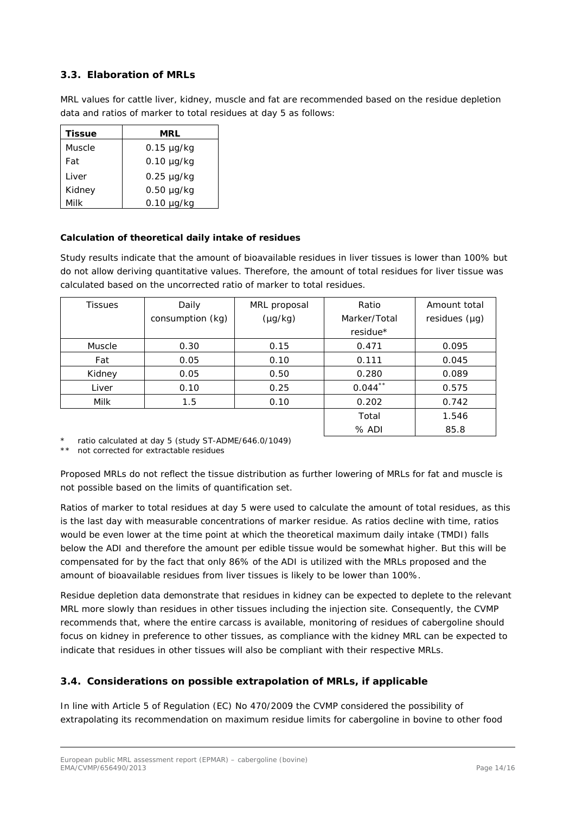## *3.3. Elaboration of MRLs*

MRL values for cattle liver, kidney, muscle and fat are recommended based on the residue depletion data and ratios of marker to total residues at day 5 as follows:

| Tissue | MRL             |
|--------|-----------------|
| Muscle | $0.15 \mu g/kg$ |
| Fat    | $0.10 \mu q/kg$ |
| Liver  | $0.25 \mu g/kg$ |
| Kidney | $0.50 \mu q/kg$ |
| Milk   | $0.10 \mu q/kg$ |

#### **Calculation of theoretical daily intake of residues**

Study results indicate that the amount of bioavailable residues in liver tissues is lower than 100% but do not allow deriving quantitative values. Therefore, the amount of total residues for liver tissue was calculated based on the uncorrected ratio of marker to total residues.

| <b>Tissues</b> | Daily            | MRL proposal | Ratio        | Amount total       |
|----------------|------------------|--------------|--------------|--------------------|
|                | consumption (kg) | $(\mu g/kg)$ | Marker/Total | residues $(\mu g)$ |
|                |                  |              | residue*     |                    |
| Muscle         | 0.30             | 0.15         | 0.471        | 0.095              |
| Fat            | 0.05             | 0.10         | 0.111        | 0.045              |
| Kidney         | 0.05             | 0.50         | 0.280        | 0.089              |
| Liver          | 0.10             | 0.25         | $0.044$ **   | 0.575              |
| Milk           | 1.5              | 0.10         | 0.202        | 0.742              |
|                |                  |              | Total        | 1.546              |
|                |                  |              | $%$ ADI      | 85.8               |

\* ratio calculated at day 5 (study ST-ADME/646.0/1049)

\*\* not corrected for extractable residues

Proposed MRLs do not reflect the tissue distribution as further lowering of MRLs for fat and muscle is not possible based on the limits of quantification set.

Ratios of marker to total residues at day 5 were used to calculate the amount of total residues, as this is the last day with measurable concentrations of marker residue. As ratios decline with time, ratios would be even lower at the time point at which the theoretical maximum daily intake (TMDI) falls below the ADI and therefore the amount per edible tissue would be somewhat higher. But this will be compensated for by the fact that only 86% of the ADI is utilized with the MRLs proposed and the amount of bioavailable residues from liver tissues is likely to be lower than 100%.

Residue depletion data demonstrate that residues in kidney can be expected to deplete to the relevant MRL more slowly than residues in other tissues including the injection site. Consequently, the CVMP recommends that, where the entire carcass is available, monitoring of residues of cabergoline should focus on kidney in preference to other tissues, as compliance with the kidney MRL can be expected to indicate that residues in other tissues will also be compliant with their respective MRLs.

## *3.4. Considerations on possible extrapolation of MRLs, if applicable*

In line with Article 5 of Regulation (EC) No 470/2009 the CVMP considered the possibility of extrapolating its recommendation on maximum residue limits for cabergoline in bovine to other food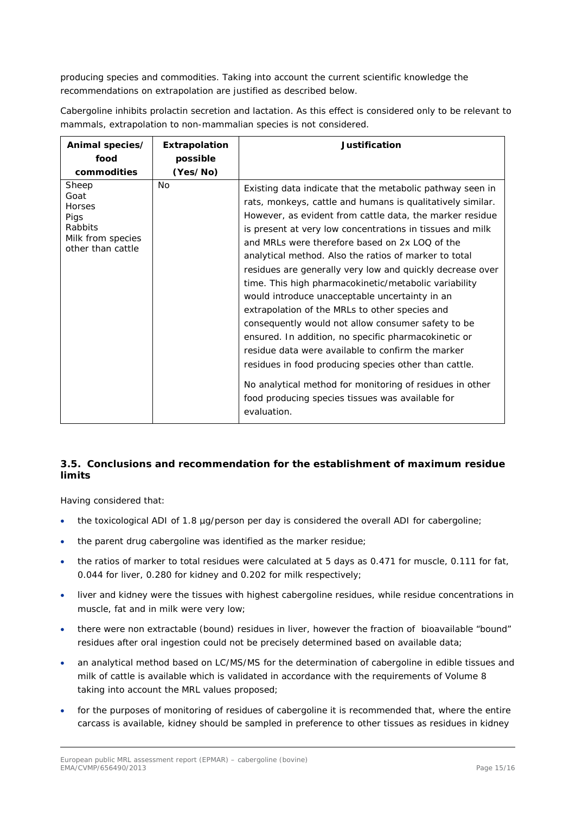producing species and commodities. Taking into account the current scientific knowledge the recommendations on extrapolation are justified as described below.

Cabergoline inhibits prolactin secretion and lactation. As this effect is considered only to be relevant to mammals, extrapolation to non-mammalian species is not considered.

| Animal species/                                                                             | Extrapolation | Justification                                                                                                                                                                                                                                                                                                                                                                                                                                                                                                                                                                                                                                                                                                                                                                                                                                                                                                                                    |
|---------------------------------------------------------------------------------------------|---------------|--------------------------------------------------------------------------------------------------------------------------------------------------------------------------------------------------------------------------------------------------------------------------------------------------------------------------------------------------------------------------------------------------------------------------------------------------------------------------------------------------------------------------------------------------------------------------------------------------------------------------------------------------------------------------------------------------------------------------------------------------------------------------------------------------------------------------------------------------------------------------------------------------------------------------------------------------|
| food                                                                                        | possible      |                                                                                                                                                                                                                                                                                                                                                                                                                                                                                                                                                                                                                                                                                                                                                                                                                                                                                                                                                  |
| commodities                                                                                 | (Yes/No)      |                                                                                                                                                                                                                                                                                                                                                                                                                                                                                                                                                                                                                                                                                                                                                                                                                                                                                                                                                  |
| Sheep<br>Goat<br><b>Horses</b><br>Pigs<br>Rabbits<br>Milk from species<br>other than cattle | No            | Existing data indicate that the metabolic pathway seen in<br>rats, monkeys, cattle and humans is qualitatively similar.<br>However, as evident from cattle data, the marker residue<br>is present at very low concentrations in tissues and milk<br>and MRLs were therefore based on 2x LOQ of the<br>analytical method. Also the ratios of marker to total<br>residues are generally very low and quickly decrease over<br>time. This high pharmacokinetic/metabolic variability<br>would introduce unacceptable uncertainty in an<br>extrapolation of the MRLs to other species and<br>consequently would not allow consumer safety to be<br>ensured. In addition, no specific pharmacokinetic or<br>residue data were available to confirm the marker<br>residues in food producing species other than cattle.<br>No analytical method for monitoring of residues in other<br>food producing species tissues was available for<br>evaluation. |

## *3.5. Conclusions and recommendation for the establishment of maximum residue limits*

Having considered that:

- the toxicological ADI of 1.8 µg/person per day is considered the overall ADI for cabergoline;
- the parent drug cabergoline was identified as the marker residue;
- the ratios of marker to total residues were calculated at 5 days as 0.471 for muscle, 0.111 for fat, 0.044 for liver, 0.280 for kidney and 0.202 for milk respectively;
- liver and kidney were the tissues with highest cabergoline residues, while residue concentrations in muscle, fat and in milk were very low;
- there were non extractable (bound) residues in liver, however the fraction of bioavailable "bound" residues after oral ingestion could not be precisely determined based on available data;
- an analytical method based on LC/MS/MS for the determination of cabergoline in edible tissues and milk of cattle is available which is validated in accordance with the requirements of Volume 8 taking into account the MRL values proposed;
- for the purposes of monitoring of residues of cabergoline it is recommended that, where the entire carcass is available, kidney should be sampled in preference to other tissues as residues in kidney